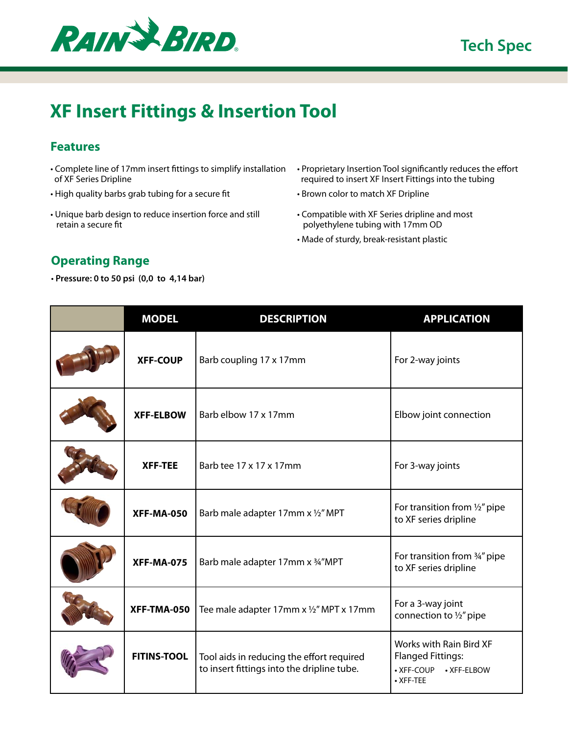

## **XF Insert Fittings & Insertion Tool**

## **Features**

- Complete line of 17mm insert fittings to simplify installation of XF Series Dripline
- High quality barbs grab tubing for a secure fit
- Unique barb design to reduce insertion force and still retain a secure fit
- Proprietary Insertion Tool significantly reduces the effort required to insert XF Insert Fittings into the tubing
- Brown color to match XF Dripline
- Compatible with XF Series dripline and most polyethylene tubing with 17mm OD
- Made of sturdy, break-resistant plastic

## **Operating Range**

• **Pressure: 0 to 50 psi (0,0 to 4,14 bar)**

| <b>MODEL</b>       | <b>DESCRIPTION</b>                                                                      | <b>APPLICATION</b>                                                                            |
|--------------------|-----------------------------------------------------------------------------------------|-----------------------------------------------------------------------------------------------|
| <b>XFF-COUP</b>    | Barb coupling 17 x 17mm                                                                 | For 2-way joints                                                                              |
| <b>XFF-ELBOW</b>   | Barb elbow 17 x 17mm                                                                    | Elbow joint connection                                                                        |
| <b>XFF-TEE</b>     | Barb tee 17 x 17 x 17 mm                                                                | For 3-way joints                                                                              |
| <b>XFF-MA-050</b>  | Barb male adapter 17mm x 1/2" MPT                                                       | For transition from 1/2" pipe<br>to XF series dripline                                        |
| <b>XFF-MA-075</b>  | Barb male adapter 17mm x 34"MPT                                                         | For transition from 3/4" pipe<br>to XF series dripline                                        |
| XFF-TMA-050        | Tee male adapter 17mm x 1/2" MPT x 17mm                                                 | For a 3-way joint<br>connection to 1/2" pipe                                                  |
| <b>FITINS-TOOL</b> | Tool aids in reducing the effort required<br>to insert fittings into the dripline tube. | Works with Rain Bird XF<br><b>Flanged Fittings:</b><br>• XFF-COUP<br>• XFF-ELBOW<br>• XFF-TEE |